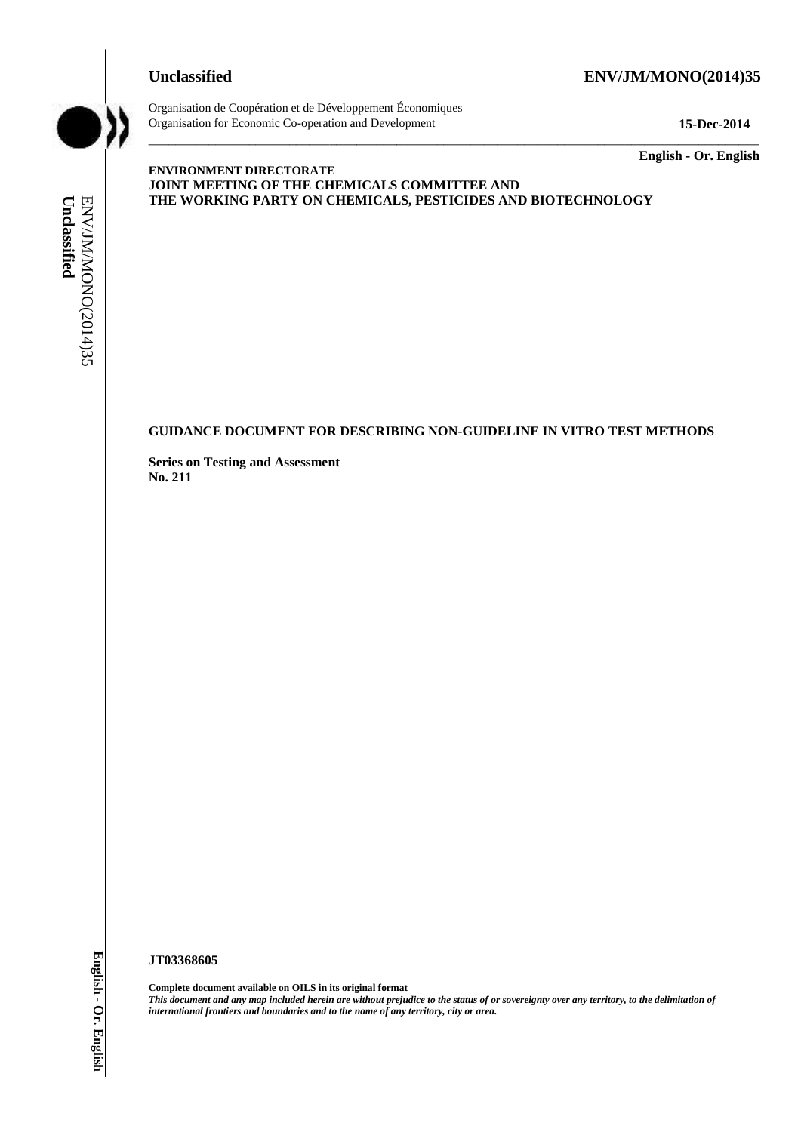# **Unclassified ENV/JM/MONO(2014)35**



Organisation de Coopération et de Développement Économiques Organisation for Economic Co-operation and Development **15-Dec-2014**

\_\_\_\_\_\_\_\_\_\_\_\_\_ **English - Or. English**

#### **ENVIRONMENT DIRECTORATE JOINT MEETING OF THE CHEMICALS COMMITTEE AND THE WORKING PARTY ON CHEMICALS, PESTICIDES AND BIOTECHNOLOGY**

\_\_\_\_\_\_\_\_\_\_\_\_\_\_\_\_\_\_\_\_\_\_\_\_\_\_\_\_\_\_\_\_\_\_\_\_\_\_\_\_\_\_\_\_\_\_\_\_\_\_\_\_\_\_\_\_\_\_\_\_\_\_\_\_\_\_\_\_\_\_\_\_\_\_\_\_\_\_\_\_\_\_\_\_\_\_\_\_\_\_\_

# **GUIDANCE DOCUMENT FOR DESCRIBING NON-GUIDELINE IN VITRO TEST METHODS**

**Series on Testing and Assessment No. 211**

#### **JT03368605**

**Complete document available on OILS in its original format** *This document and any map included herein are without prejudice to the status of or sovereignty over any territory, to the delimitation of*  **IFFERENT CONSTRUCT AND FRONTIERS AND FRONTIERS AND SET CONSTRUCTS**<br> **IFFERENT CONSTRUCTS**<br> **IFFERENT CONSTRUCTS**<br> **IFFERENT CONSTRUCTS**<br>
SUPPORT CONSTRUCTS<br>
SUPPORT CONSTRUCTS<br>
<br> **UNCLES**<br> **IFFERENT CONSTRUCTS**<br> **IFFERENT**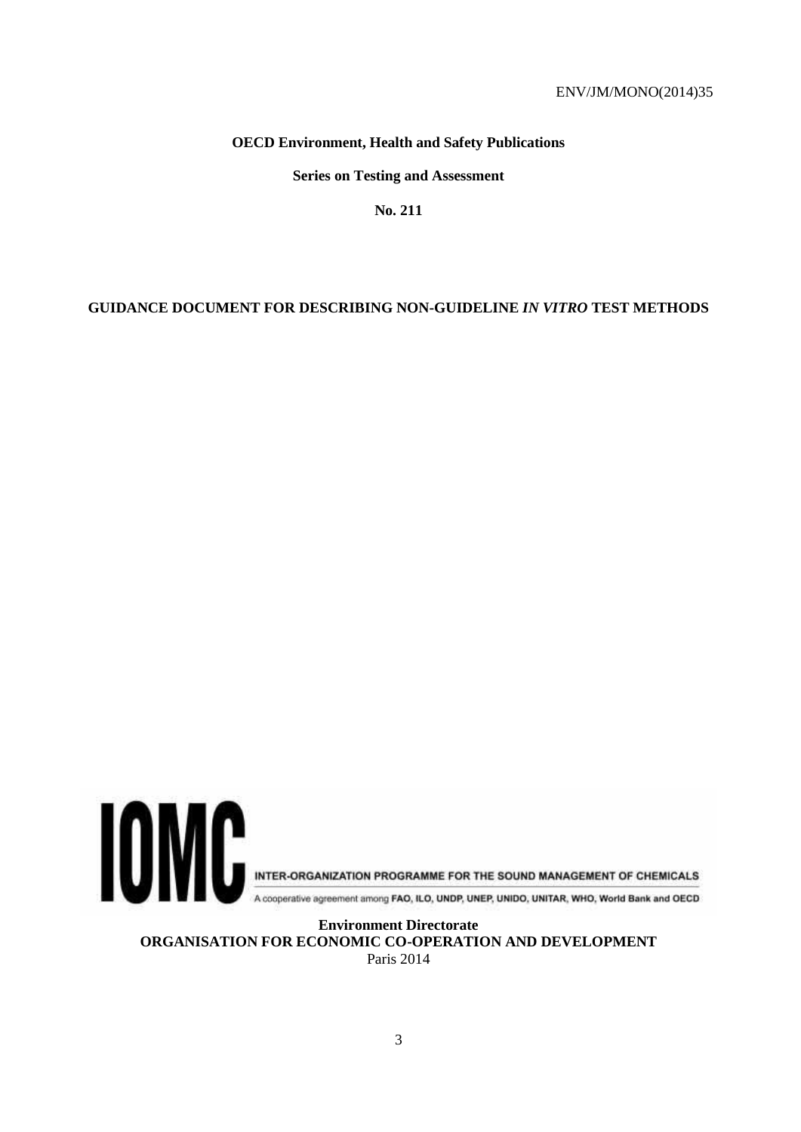# **OECD Environment, Health and Safety Publications**

**Series on Testing and Assessment**

**No. 211**

# **GUIDANCE DOCUMENT FOR DESCRIBING NON-GUIDELINE** *IN VITRO* **TEST METHODS**



A cooperative agreement among FAO, ILO, UNDP, UNEP, UNIDO, UNITAR, WHO, World Bank and OECD

**Environment Directorate ORGANISATION FOR ECONOMIC CO-OPERATION AND DEVELOPMENT** Paris 2014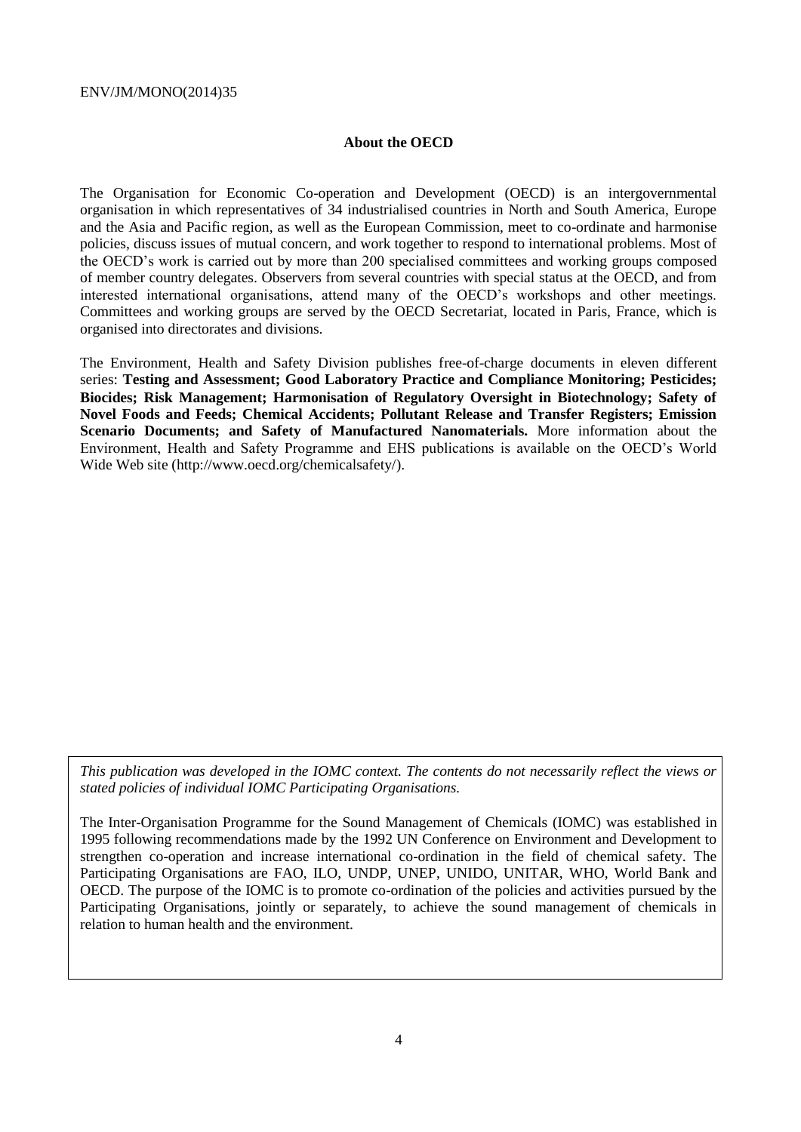# **About the OECD**

The Organisation for Economic Co-operation and Development (OECD) is an intergovernmental organisation in which representatives of 34 industrialised countries in North and South America, Europe and the Asia and Pacific region, as well as the European Commission, meet to co-ordinate and harmonise policies, discuss issues of mutual concern, and work together to respond to international problems. Most of the OECD's work is carried out by more than 200 specialised committees and working groups composed of member country delegates. Observers from several countries with special status at the OECD, and from interested international organisations, attend many of the OECD's workshops and other meetings. Committees and working groups are served by the OECD Secretariat, located in Paris, France, which is organised into directorates and divisions.

The Environment, Health and Safety Division publishes free-of-charge documents in eleven different series: **Testing and Assessment; Good Laboratory Practice and Compliance Monitoring; Pesticides; Biocides; Risk Management; Harmonisation of Regulatory Oversight in Biotechnology; Safety of Novel Foods and Feeds; Chemical Accidents; Pollutant Release and Transfer Registers; Emission Scenario Documents; and Safety of Manufactured Nanomaterials.** More information about the Environment, Health and Safety Programme and EHS publications is available on the OECD's World Wide Web site (http://www.oecd.org/chemicalsafety/).

*This publication was developed in the IOMC context. The contents do not necessarily reflect the views or stated policies of individual IOMC Participating Organisations.*

The Inter-Organisation Programme for the Sound Management of Chemicals (IOMC) was established in 1995 following recommendations made by the 1992 UN Conference on Environment and Development to strengthen co-operation and increase international co-ordination in the field of chemical safety. The Participating Organisations are FAO, ILO, UNDP, UNEP, UNIDO, UNITAR, WHO, World Bank and OECD. The purpose of the IOMC is to promote co-ordination of the policies and activities pursued by the Participating Organisations, jointly or separately, to achieve the sound management of chemicals in relation to human health and the environment.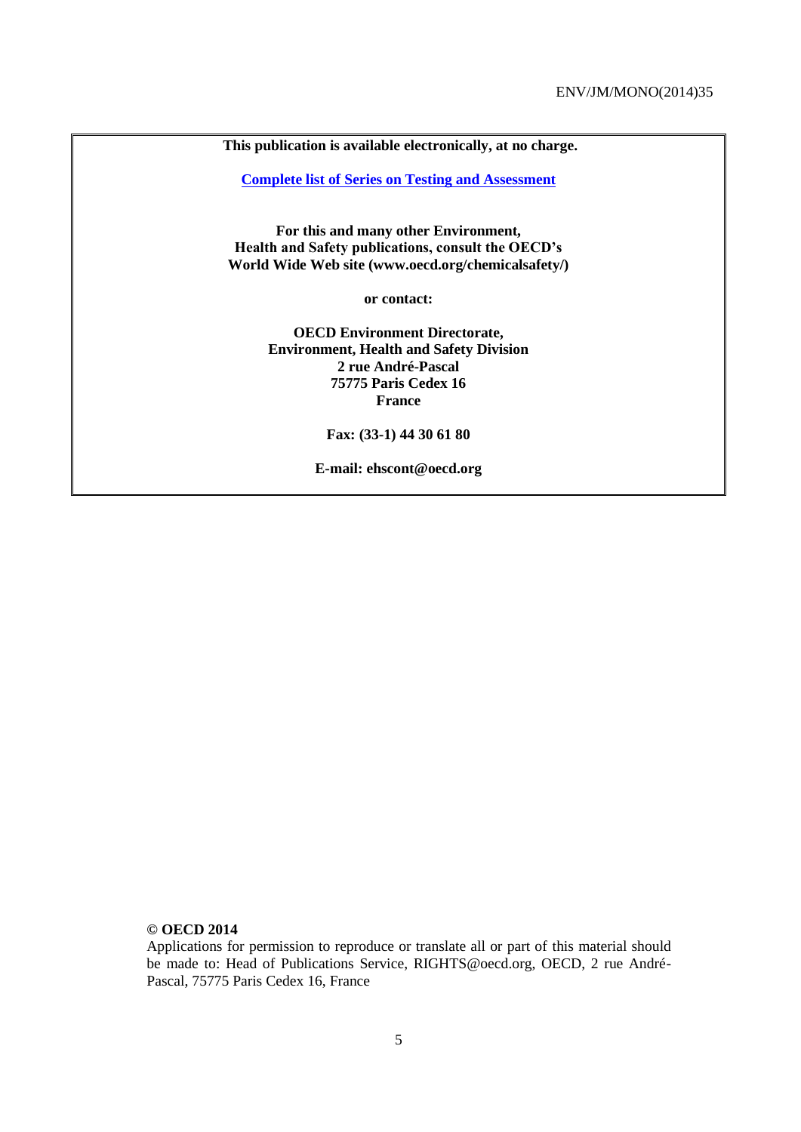**This publication is available electronically, at no charge.**

**[Complete list of Series on Testing and Assessment](http://www.oecd.org/env/ehs/testing/seriesontestingandassessmentpublicationsbynumber.htm)**

**For this and many other Environment, Health and Safety publications, consult the OECD's World Wide Web site (www.oecd.org/chemicalsafety/)**

**or contact:**

**OECD Environment Directorate, Environment, Health and Safety Division 2 rue André-Pascal 75775 Paris Cedex 16 France**

**Fax: (33-1) 44 30 61 80** 

**E-mail: ehscont@oecd.org**

#### **© OECD 2014**

Applications for permission to reproduce or translate all or part of this material should be made to: Head of Publications Service, RIGHTS@oecd.org, OECD, 2 rue André-Pascal, 75775 Paris Cedex 16, France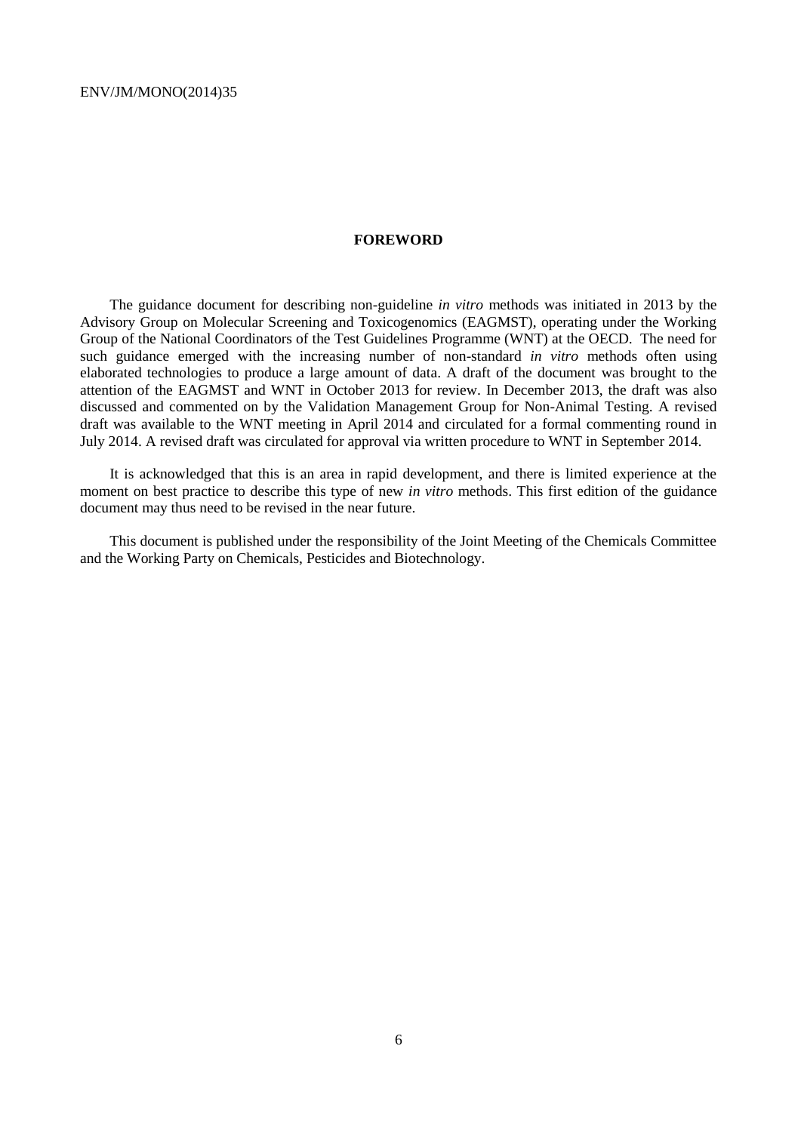## **FOREWORD**

The guidance document for describing non-guideline *in vitro* methods was initiated in 2013 by the Advisory Group on Molecular Screening and Toxicogenomics (EAGMST), operating under the Working Group of the National Coordinators of the Test Guidelines Programme (WNT) at the OECD. The need for such guidance emerged with the increasing number of non-standard *in vitro* methods often using elaborated technologies to produce a large amount of data. A draft of the document was brought to the attention of the EAGMST and WNT in October 2013 for review. In December 2013, the draft was also discussed and commented on by the Validation Management Group for Non-Animal Testing. A revised draft was available to the WNT meeting in April 2014 and circulated for a formal commenting round in July 2014. A revised draft was circulated for approval via written procedure to WNT in September 2014.

It is acknowledged that this is an area in rapid development, and there is limited experience at the moment on best practice to describe this type of new *in vitro* methods. This first edition of the guidance document may thus need to be revised in the near future.

This document is published under the responsibility of the Joint Meeting of the Chemicals Committee and the Working Party on Chemicals, Pesticides and Biotechnology.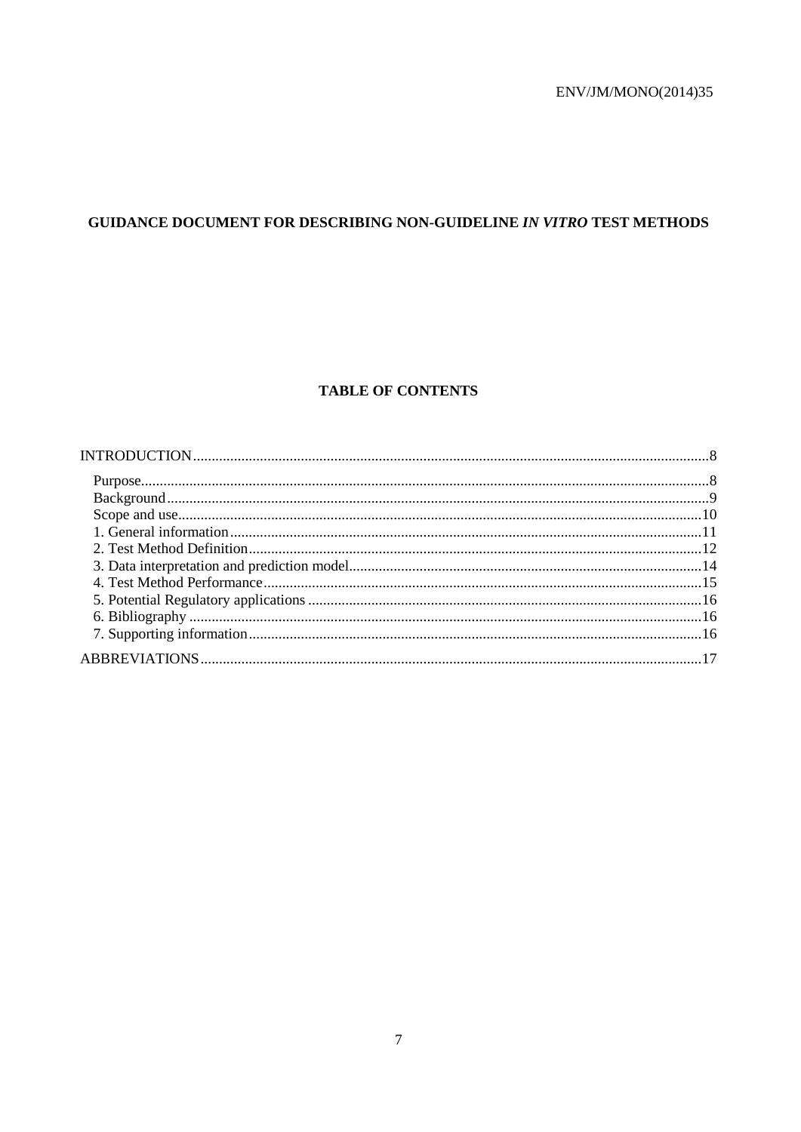# GUIDANCE DOCUMENT FOR DESCRIBING NON-GUIDELINE IN VITRO TEST METHODS

# **TABLE OF CONTENTS**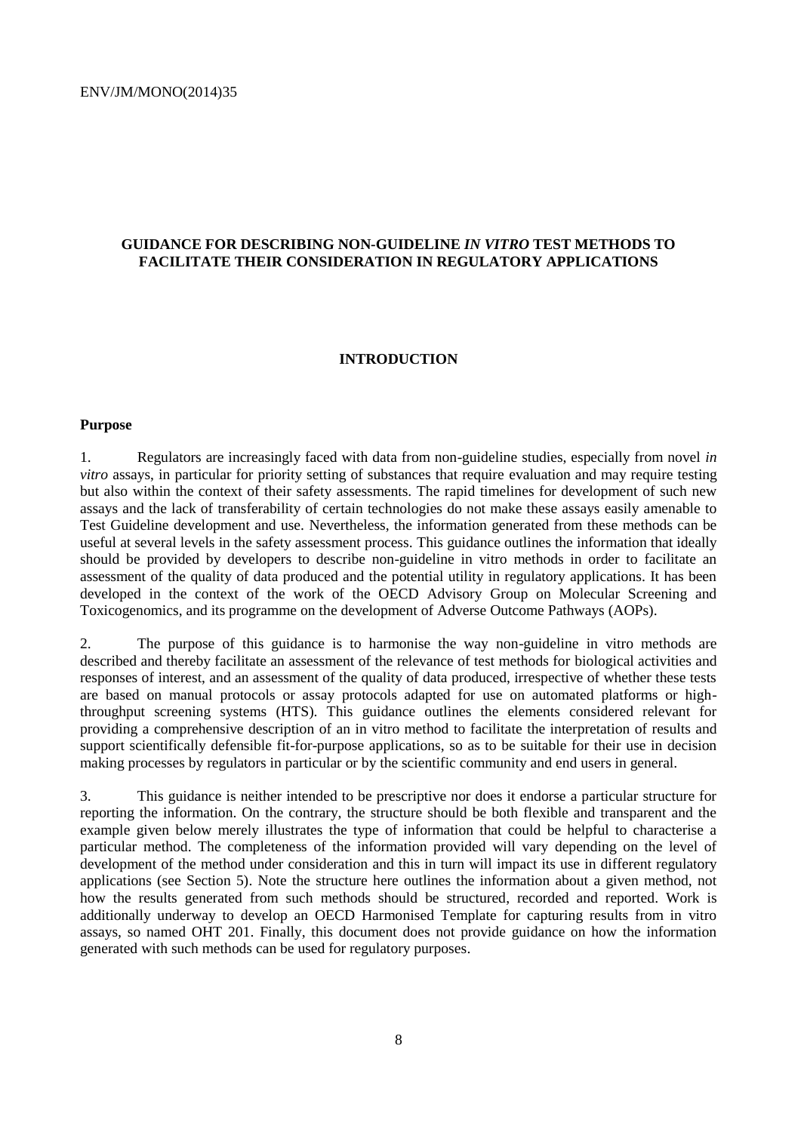# **GUIDANCE FOR DESCRIBING NON-GUIDELINE** *IN VITRO* **TEST METHODS TO FACILITATE THEIR CONSIDERATION IN REGULATORY APPLICATIONS**

#### <span id="page-7-0"></span>**INTRODUCTION**

#### <span id="page-7-1"></span>**Purpose**

1. Regulators are increasingly faced with data from non-guideline studies, especially from novel *in vitro* assays, in particular for priority setting of substances that require evaluation and may require testing but also within the context of their safety assessments. The rapid timelines for development of such new assays and the lack of transferability of certain technologies do not make these assays easily amenable to Test Guideline development and use. Nevertheless, the information generated from these methods can be useful at several levels in the safety assessment process. This guidance outlines the information that ideally should be provided by developers to describe non-guideline in vitro methods in order to facilitate an assessment of the quality of data produced and the potential utility in regulatory applications. It has been developed in the context of the work of the OECD Advisory Group on Molecular Screening and Toxicogenomics, and its programme on the development of Adverse Outcome Pathways (AOPs).

2. The purpose of this guidance is to harmonise the way non-guideline in vitro methods are described and thereby facilitate an assessment of the relevance of test methods for biological activities and responses of interest, and an assessment of the quality of data produced, irrespective of whether these tests are based on manual protocols or assay protocols adapted for use on automated platforms or highthroughput screening systems (HTS). This guidance outlines the elements considered relevant for providing a comprehensive description of an in vitro method to facilitate the interpretation of results and support scientifically defensible fit-for-purpose applications, so as to be suitable for their use in decision making processes by regulators in particular or by the scientific community and end users in general.

3. This guidance is neither intended to be prescriptive nor does it endorse a particular structure for reporting the information. On the contrary, the structure should be both flexible and transparent and the example given below merely illustrates the type of information that could be helpful to characterise a particular method. The completeness of the information provided will vary depending on the level of development of the method under consideration and this in turn will impact its use in different regulatory applications (see Section 5). Note the structure here outlines the information about a given method, not how the results generated from such methods should be structured, recorded and reported. Work is additionally underway to develop an OECD Harmonised Template for capturing results from in vitro assays, so named OHT 201. Finally, this document does not provide guidance on how the information generated with such methods can be used for regulatory purposes.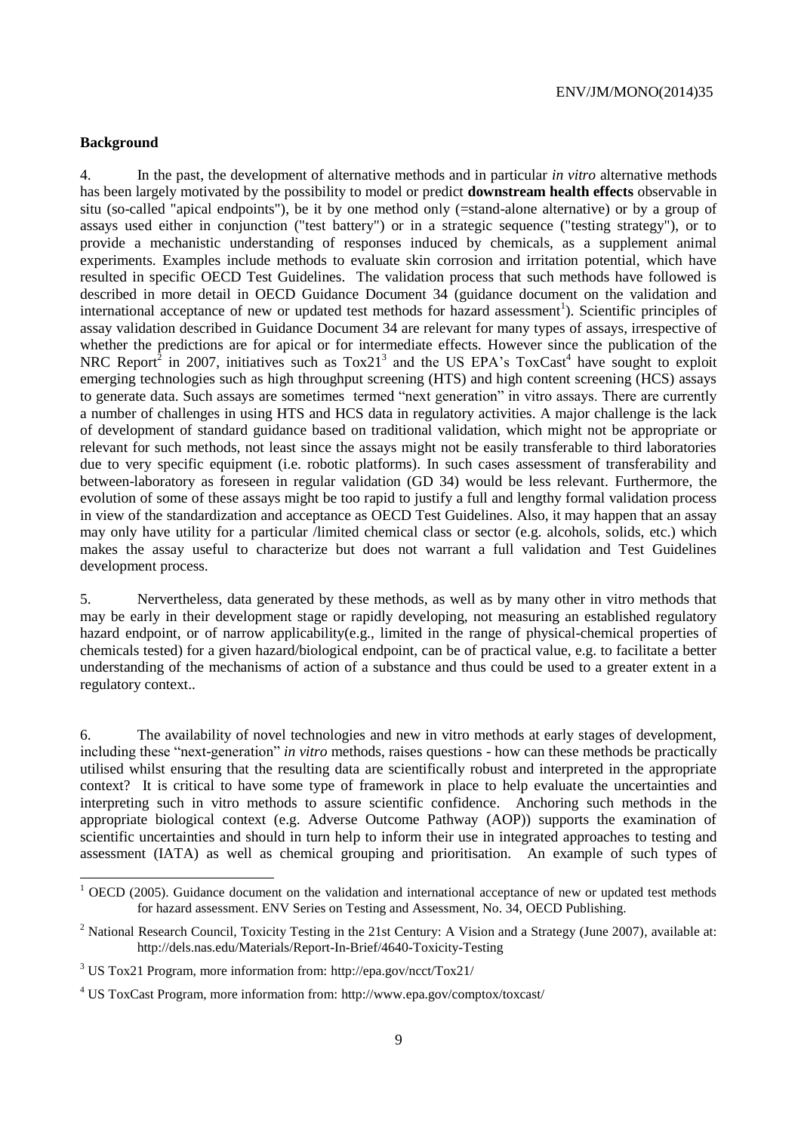# <span id="page-8-0"></span>**Background**

4. In the past, the development of alternative methods and in particular *in vitro* alternative methods has been largely motivated by the possibility to model or predict **downstream health effects** observable in situ (so-called "apical endpoints"), be it by one method only (=stand-alone alternative) or by a group of assays used either in conjunction ("test battery") or in a strategic sequence ("testing strategy"), or to provide a mechanistic understanding of responses induced by chemicals, as a supplement animal experiments. Examples include methods to evaluate skin corrosion and irritation potential, which have resulted in specific OECD Test Guidelines. The validation process that such methods have followed is described in more detail in OECD Guidance Document 34 (guidance document on the validation and international acceptance of new or updated test methods for hazard assessment<sup>1</sup>). Scientific principles of assay validation described in Guidance Document 34 are relevant for many types of assays, irrespective of whether the predictions are for apical or for intermediate effects. However since the publication of the NRC Report<sup>2</sup> in 2007, initiatives such as  $Tox21<sup>3</sup>$  and the US EPA's  $ToxCast<sup>4</sup>$  have sought to exploit emerging technologies such as high throughput screening (HTS) and high content screening (HCS) assays to generate data. Such assays are sometimes termed "next generation" in vitro assays. There are currently a number of challenges in using HTS and HCS data in regulatory activities. A major challenge is the lack of development of standard guidance based on traditional validation, which might not be appropriate or relevant for such methods, not least since the assays might not be easily transferable to third laboratories due to very specific equipment (i.e. robotic platforms). In such cases assessment of transferability and between-laboratory as foreseen in regular validation (GD 34) would be less relevant. Furthermore, the evolution of some of these assays might be too rapid to justify a full and lengthy formal validation process in view of the standardization and acceptance as OECD Test Guidelines. Also, it may happen that an assay may only have utility for a particular /limited chemical class or sector (e.g. alcohols, solids, etc.) which makes the assay useful to characterize but does not warrant a full validation and Test Guidelines development process.

5. Nervertheless, data generated by these methods, as well as by many other in vitro methods that may be early in their development stage or rapidly developing, not measuring an established regulatory hazard endpoint, or of narrow applicability(e.g., limited in the range of physical-chemical properties of chemicals tested) for a given hazard/biological endpoint, can be of practical value, e.g. to facilitate a better understanding of the mechanisms of action of a substance and thus could be used to a greater extent in a regulatory context..

6. The availability of novel technologies and new in vitro methods at early stages of development, including these "next-generation" *in vitro* methods, raises questions - how can these methods be practically utilised whilst ensuring that the resulting data are scientifically robust and interpreted in the appropriate context? It is critical to have some type of framework in place to help evaluate the uncertainties and interpreting such in vitro methods to assure scientific confidence. Anchoring such methods in the appropriate biological context (e.g. Adverse Outcome Pathway (AOP)) supports the examination of scientific uncertainties and should in turn help to inform their use in integrated approaches to testing and assessment (IATA) as well as chemical grouping and prioritisation. An example of such types of

 $1$  OECD (2005). Guidance document on the validation and international acceptance of new or updated test methods for hazard assessment. ENV Series on Testing and Assessment, No. 34, OECD Publishing.

<sup>&</sup>lt;sup>2</sup> National Research Council, Toxicity Testing in the 21st Century: A Vision and a Strategy (June 2007), available at: http://dels.nas.edu/Materials/Report-In-Brief/4640-Toxicity-Testing

<sup>3</sup> US Tox21 Program, more information from: http://epa.gov/ncct/Tox21/

<sup>4</sup> US ToxCast Program, more information from: http://www.epa.gov/comptox/toxcast/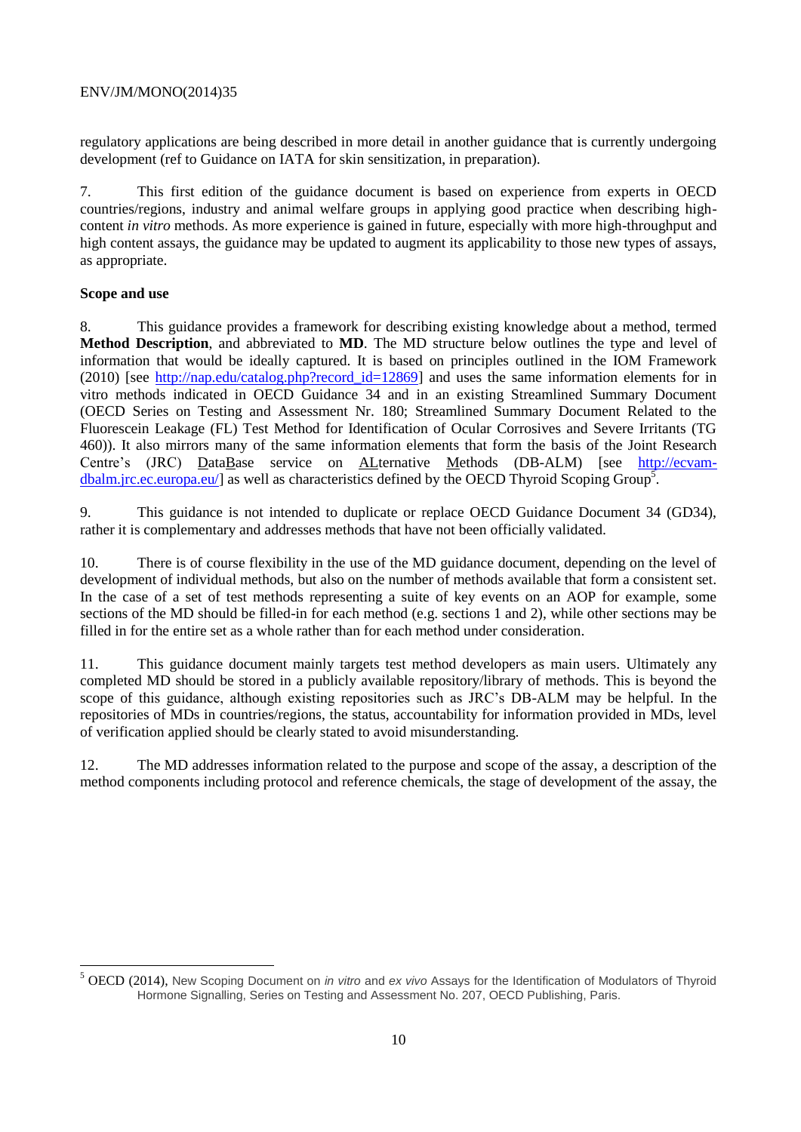regulatory applications are being described in more detail in another guidance that is currently undergoing development (ref to Guidance on IATA for skin sensitization, in preparation).

7. This first edition of the guidance document is based on experience from experts in OECD countries/regions, industry and animal welfare groups in applying good practice when describing highcontent *in vitro* methods. As more experience is gained in future, especially with more high-throughput and high content assays, the guidance may be updated to augment its applicability to those new types of assays, as appropriate.

# <span id="page-9-0"></span>**Scope and use**

8. This guidance provides a framework for describing existing knowledge about a method, termed **Method Description**, and abbreviated to **MD**. The MD structure below outlines the type and level of information that would be ideally captured. It is based on principles outlined in the IOM Framework (2010) [see [http://nap.edu/catalog.php?record\\_id=12869\]](http://nap.edu/catalog.php?record_id=12869) and uses the same information elements for in vitro methods indicated in OECD Guidance 34 and in an existing Streamlined Summary Document (OECD Series on Testing and Assessment Nr. 180; Streamlined Summary Document Related to the Fluorescein Leakage (FL) Test Method for Identification of Ocular Corrosives and Severe Irritants (TG 460)). It also mirrors many of the same information elements that form the basis of the Joint Research Centre's (JRC) DataBase service on ALternative Methods (DB-ALM) [see [http://ecvam](http://ecvam-dbalm.jrc.ec.europa.eu/)[dbalm.jrc.ec.europa.eu/\]](http://ecvam-dbalm.jrc.ec.europa.eu/) as well as characteristics defined by the OECD Thyroid Scoping Group<sup>5</sup>.

9. This guidance is not intended to duplicate or replace OECD Guidance Document 34 (GD34), rather it is complementary and addresses methods that have not been officially validated.

10. There is of course flexibility in the use of the MD guidance document, depending on the level of development of individual methods, but also on the number of methods available that form a consistent set. In the case of a set of test methods representing a suite of key events on an AOP for example, some sections of the MD should be filled-in for each method (e.g. sections 1 and 2), while other sections may be filled in for the entire set as a whole rather than for each method under consideration.

11. This guidance document mainly targets test method developers as main users. Ultimately any completed MD should be stored in a publicly available repository/library of methods. This is beyond the scope of this guidance, although existing repositories such as JRC's DB-ALM may be helpful. In the repositories of MDs in countries/regions, the status, accountability for information provided in MDs, level of verification applied should be clearly stated to avoid misunderstanding.

12. The MD addresses information related to the purpose and scope of the assay, a description of the method components including protocol and reference chemicals, the stage of development of the assay, the

<sup>5</sup> OECD (2014), New Scoping Document on *in vitro* and *ex vivo* Assays for the Identification of Modulators of Thyroid Hormone Signalling, Series on Testing and Assessment No. 207, OECD Publishing, Paris.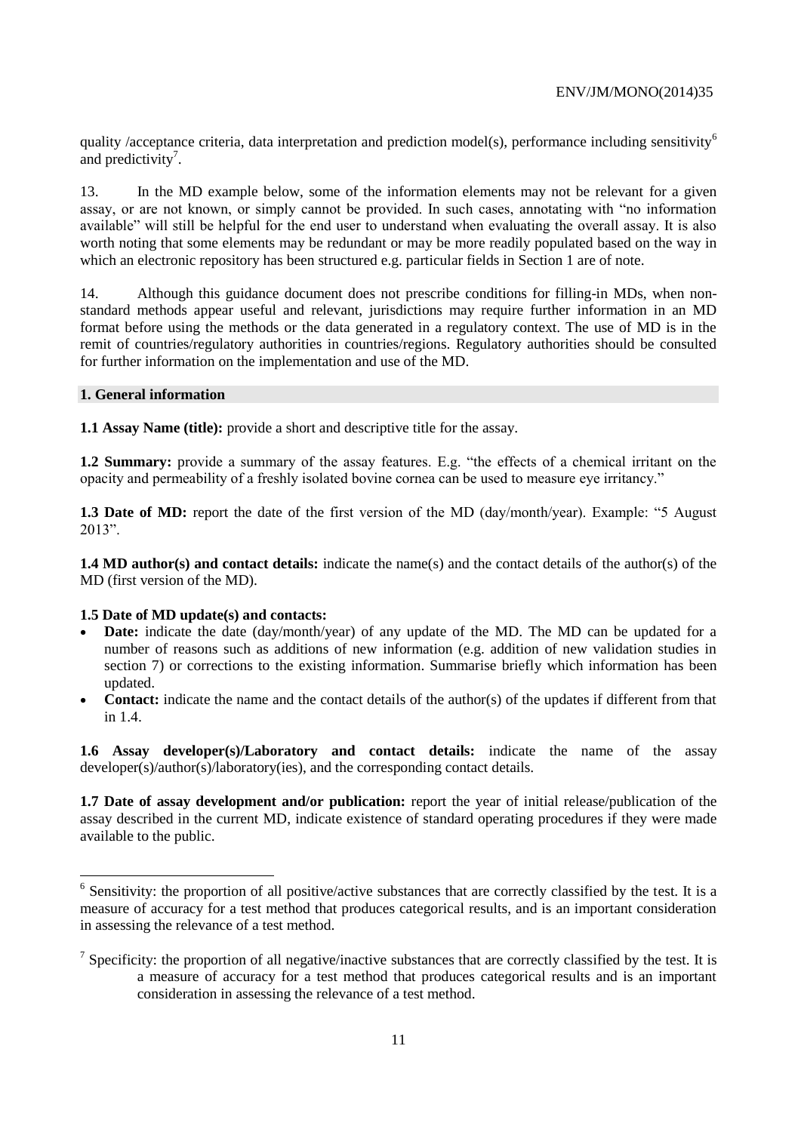quality /acceptance criteria, data interpretation and prediction model(s), performance including sensitivity<sup>6</sup> and predictivity<sup>7</sup>.

13. In the MD example below, some of the information elements may not be relevant for a given assay, or are not known, or simply cannot be provided. In such cases, annotating with "no information available" will still be helpful for the end user to understand when evaluating the overall assay. It is also worth noting that some elements may be redundant or may be more readily populated based on the way in which an electronic repository has been structured e.g. particular fields in Section 1 are of note.

14. Although this guidance document does not prescribe conditions for filling-in MDs, when nonstandard methods appear useful and relevant, jurisdictions may require further information in an MD format before using the methods or the data generated in a regulatory context. The use of MD is in the remit of countries/regulatory authorities in countries/regions. Regulatory authorities should be consulted for further information on the implementation and use of the MD.

## <span id="page-10-0"></span>**1. General information**

**1.1 Assay Name (title):** provide a short and descriptive title for the assay.

**1.2 Summary:** provide a summary of the assay features. E.g. "the effects of a chemical irritant on the opacity and permeability of a freshly isolated bovine cornea can be used to measure eye irritancy."

**1.3 Date of MD:** report the date of the first version of the MD (day/month/year). Example: "5 August 2013".

**1.4 MD author(s) and contact details:** indicate the name(s) and the contact details of the author(s) of the MD (first version of the MD).

# **1.5 Date of MD update(s) and contacts:**

- **Date:** indicate the date (day/month/year) of any update of the MD. The MD can be updated for a number of reasons such as additions of new information (e.g. addition of new validation studies in section 7) or corrections to the existing information. Summarise briefly which information has been updated.
- **Contact:** indicate the name and the contact details of the author(s) of the updates if different from that in  $1.4$

**1.6 Assay developer(s)/Laboratory and contact details:** indicate the name of the assay developer(s)/author(s)/laboratory(ies), and the corresponding contact details.

**1.7 Date of assay development and/or publication:** report the year of initial release/publication of the assay described in the current MD, indicate existence of standard operating procedures if they were made available to the public.

<sup>&</sup>lt;sup>6</sup> Sensitivity: the proportion of all positive/active substances that are correctly classified by the test. It is a measure of accuracy for a test method that produces categorical results, and is an important consideration in assessing the relevance of a test method.

<sup>&</sup>lt;sup>7</sup> Specificity: the proportion of all negative/inactive substances that are correctly classified by the test. It is a measure of accuracy for a test method that produces categorical results and is an important consideration in assessing the relevance of a test method.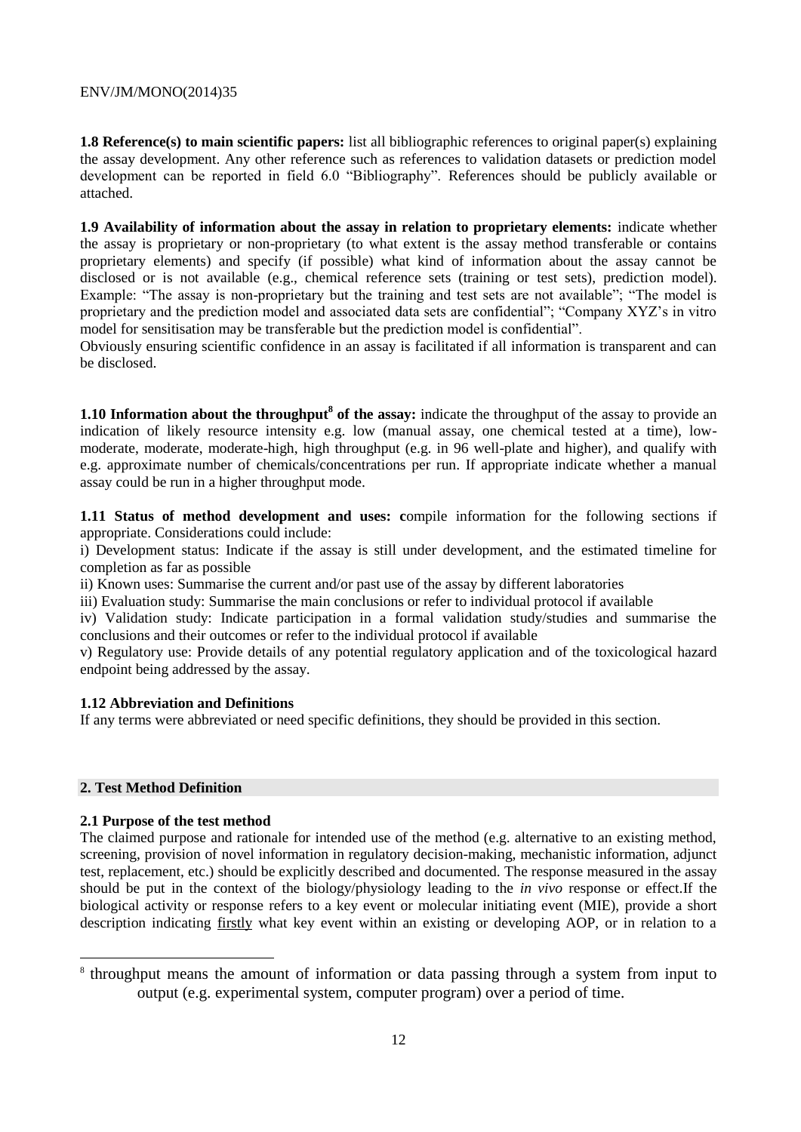**1.8 Reference(s) to main scientific papers:** list all bibliographic references to original paper(s) explaining the assay development. Any other reference such as references to validation datasets or prediction model development can be reported in field 6.0 "Bibliography". References should be publicly available or attached.

**1.9 Availability of information about the assay in relation to proprietary elements:** indicate whether the assay is proprietary or non-proprietary (to what extent is the assay method transferable or contains proprietary elements) and specify (if possible) what kind of information about the assay cannot be disclosed or is not available (e.g., chemical reference sets (training or test sets), prediction model). Example: "The assay is non-proprietary but the training and test sets are not available"; "The model is proprietary and the prediction model and associated data sets are confidential"; "Company XYZ's in vitro model for sensitisation may be transferable but the prediction model is confidential".

Obviously ensuring scientific confidence in an assay is facilitated if all information is transparent and can be disclosed.

**1.10 Information about the throughput<sup>8</sup> of the assay:** indicate the throughput of the assay to provide an indication of likely resource intensity e.g. low (manual assay, one chemical tested at a time), lowmoderate, moderate, moderate-high, high throughput (e.g. in 96 well-plate and higher), and qualify with e.g. approximate number of chemicals/concentrations per run. If appropriate indicate whether a manual assay could be run in a higher throughput mode.

**1.11 Status of method development and uses: c**ompile information for the following sections if appropriate. Considerations could include:

i) Development status: Indicate if the assay is still under development, and the estimated timeline for completion as far as possible

ii) Known uses: Summarise the current and/or past use of the assay by different laboratories

iii) Evaluation study: Summarise the main conclusions or refer to individual protocol if available

iv) Validation study: Indicate participation in a formal validation study/studies and summarise the conclusions and their outcomes or refer to the individual protocol if available

v) Regulatory use: Provide details of any potential regulatory application and of the toxicological hazard endpoint being addressed by the assay.

## **1.12 Abbreviation and Definitions**

If any terms were abbreviated or need specific definitions, they should be provided in this section.

## <span id="page-11-0"></span>**2. Test Method Definition**

 $\overline{a}$ 

## **2.1 Purpose of the test method**

The claimed purpose and rationale for intended use of the method (e.g. alternative to an existing method, screening, provision of novel information in regulatory decision-making, mechanistic information, adjunct test, replacement, etc.) should be explicitly described and documented. The response measured in the assay should be put in the context of the biology/physiology leading to the *in vivo* response or effect.If the biological activity or response refers to a key event or molecular initiating event (MIE), provide a short description indicating firstly what key event within an existing or developing AOP, or in relation to a

<sup>&</sup>lt;sup>8</sup> throughput means the amount of information or data passing through a system from input to output (e.g. experimental system, computer program) over a period of time.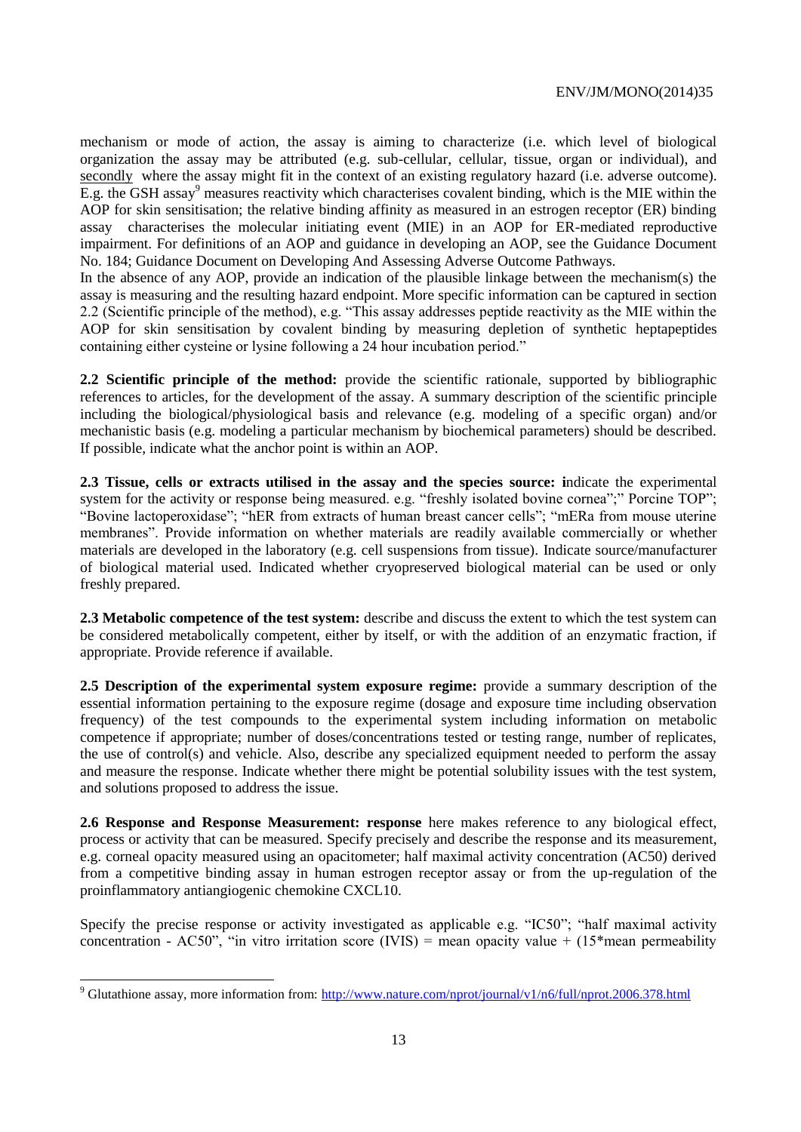mechanism or mode of action, the assay is aiming to characterize (i.e. which level of biological organization the assay may be attributed (e.g. sub-cellular, cellular, tissue, organ or individual), and secondly where the assay might fit in the context of an existing regulatory hazard (i.e. adverse outcome). E.g. the GSH assay<sup>9</sup> measures reactivity which characterises covalent binding, which is the MIE within the AOP for skin sensitisation; the relative binding affinity as measured in an estrogen receptor (ER) binding assay characterises the molecular initiating event (MIE) in an AOP for ER-mediated reproductive impairment. For definitions of an AOP and guidance in developing an AOP, see the Guidance Document No. 184; Guidance Document on Developing And Assessing Adverse Outcome Pathways.

In the absence of any AOP, provide an indication of the plausible linkage between the mechanism(s) the assay is measuring and the resulting hazard endpoint. More specific information can be captured in section 2.2 (Scientific principle of the method), e.g. "This assay addresses peptide reactivity as the MIE within the AOP for skin sensitisation by covalent binding by measuring depletion of synthetic heptapeptides containing either cysteine or lysine following a 24 hour incubation period."

**2.2 Scientific principle of the method:** provide the scientific rationale, supported by bibliographic references to articles, for the development of the assay. A summary description of the scientific principle including the biological/physiological basis and relevance (e.g. modeling of a specific organ) and/or mechanistic basis (e.g. modeling a particular mechanism by biochemical parameters) should be described. If possible, indicate what the anchor point is within an AOP.

**2.3 Tissue, cells or extracts utilised in the assay and the species source: i**ndicate the experimental system for the activity or response being measured. e.g. "freshly isolated bovine cornea";" Porcine TOP"; "Bovine lactoperoxidase"; "hER from extracts of human breast cancer cells"; "mERa from mouse uterine membranes". Provide information on whether materials are readily available commercially or whether materials are developed in the laboratory (e.g. cell suspensions from tissue). Indicate source/manufacturer of biological material used. Indicated whether cryopreserved biological material can be used or only freshly prepared.

**2.3 Metabolic competence of the test system:** describe and discuss the extent to which the test system can be considered metabolically competent, either by itself, or with the addition of an enzymatic fraction, if appropriate. Provide reference if available.

**2.5 Description of the experimental system exposure regime:** provide a summary description of the essential information pertaining to the exposure regime (dosage and exposure time including observation frequency) of the test compounds to the experimental system including information on metabolic competence if appropriate; number of doses/concentrations tested or testing range, number of replicates, the use of control(s) and vehicle. Also, describe any specialized equipment needed to perform the assay and measure the response. Indicate whether there might be potential solubility issues with the test system, and solutions proposed to address the issue.

**2.6 Response and Response Measurement: response** here makes reference to any biological effect, process or activity that can be measured. Specify precisely and describe the response and its measurement, e.g. corneal opacity measured using an opacitometer; half maximal activity concentration (AC50) derived from a competitive binding assay in human estrogen receptor assay or from the up-regulation of the proinflammatory antiangiogenic chemokine CXCL10.

Specify the precise response or activity investigated as applicable e.g. "IC50"; "half maximal activity concentration - AC50", "in vitro irritation score (IVIS) = mean opacity value +  $(15*$ mean permeability

 $\overline{a}$ 

<sup>&</sup>lt;sup>9</sup> Glutathione assay, more information from:<http://www.nature.com/nprot/journal/v1/n6/full/nprot.2006.378.html>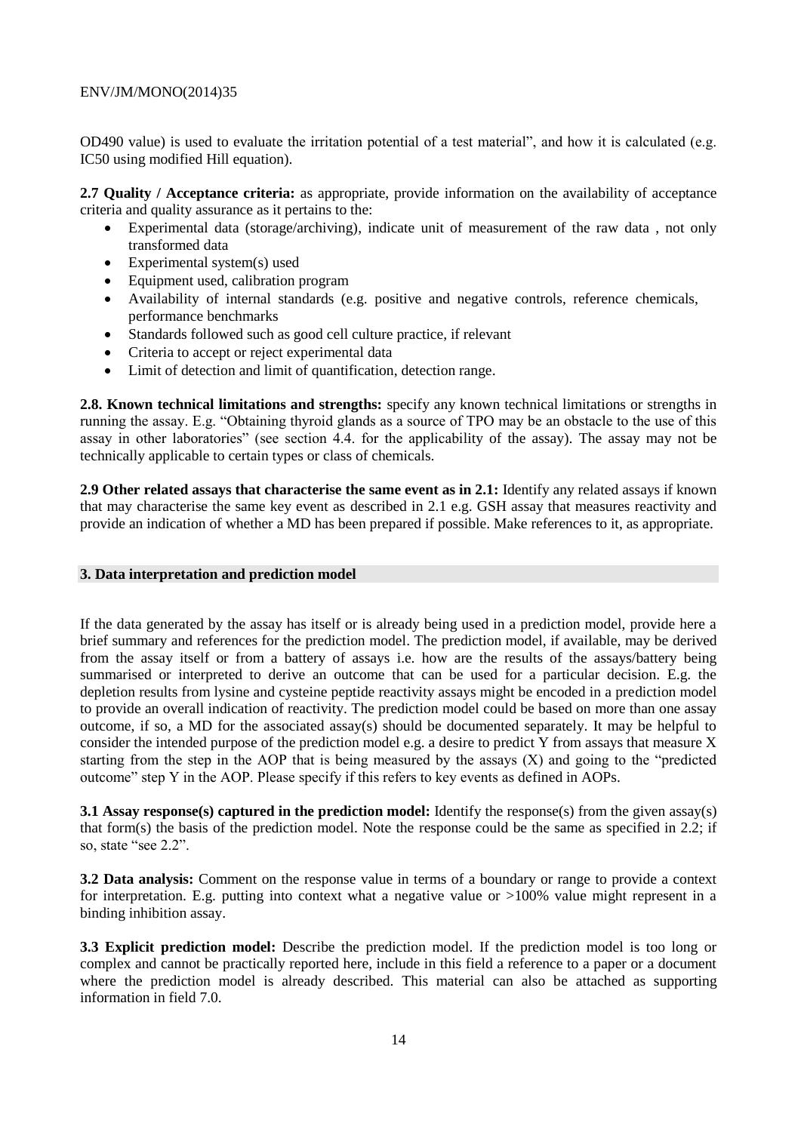OD490 value) is used to evaluate the irritation potential of a test material", and how it is calculated (e.g. IC50 using modified Hill equation).

**2.7 Quality / Acceptance criteria:** as appropriate, provide information on the availability of acceptance criteria and quality assurance as it pertains to the:

- Experimental data (storage/archiving), indicate unit of measurement of the raw data , not only transformed data
- Experimental system(s) used
- Equipment used, calibration program
- Availability of internal standards (e.g. positive and negative controls, reference chemicals, performance benchmarks
- Standards followed such as good cell culture practice, if relevant
- Criteria to accept or reject experimental data
- Limit of detection and limit of quantification, detection range.

**2.8. Known technical limitations and strengths:** specify any known technical limitations or strengths in running the assay. E.g. "Obtaining thyroid glands as a source of TPO may be an obstacle to the use of this assay in other laboratories" (see section 4.4. for the applicability of the assay). The assay may not be technically applicable to certain types or class of chemicals.

**2.9 Other related assays that characterise the same event as in 2.1:** Identify any related assays if known that may characterise the same key event as described in 2.1 e.g. GSH assay that measures reactivity and provide an indication of whether a MD has been prepared if possible. Make references to it, as appropriate.

# <span id="page-13-0"></span>**3. Data interpretation and prediction model**

If the data generated by the assay has itself or is already being used in a prediction model, provide here a brief summary and references for the prediction model. The prediction model, if available, may be derived from the assay itself or from a battery of assays i.e. how are the results of the assays/battery being summarised or interpreted to derive an outcome that can be used for a particular decision. E.g. the depletion results from lysine and cysteine peptide reactivity assays might be encoded in a prediction model to provide an overall indication of reactivity. The prediction model could be based on more than one assay outcome, if so, a MD for the associated assay(s) should be documented separately. It may be helpful to consider the intended purpose of the prediction model e.g. a desire to predict Y from assays that measure X starting from the step in the AOP that is being measured by the assays (X) and going to the "predicted outcome" step Y in the AOP. Please specify if this refers to key events as defined in AOPs.

**3.1 Assay response(s) captured in the prediction model:** Identify the response(s) from the given assay(s) that form(s) the basis of the prediction model. Note the response could be the same as specified in 2.2; if so, state "see 2.2".

**3.2 Data analysis:** Comment on the response value in terms of a boundary or range to provide a context for interpretation. E.g. putting into context what a negative value or >100% value might represent in a binding inhibition assay.

**3.3 Explicit prediction model:** Describe the prediction model. If the prediction model is too long or complex and cannot be practically reported here, include in this field a reference to a paper or a document where the prediction model is already described. This material can also be attached as supporting information in field 7.0.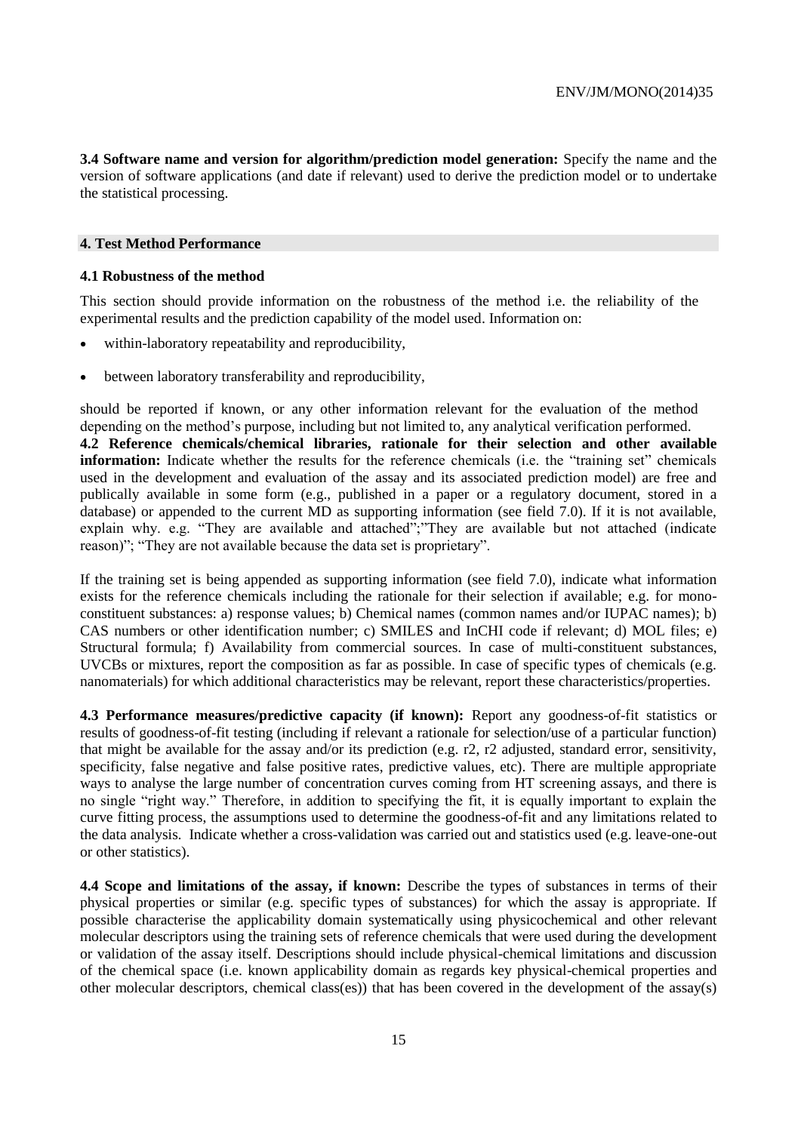**3.4 Software name and version for algorithm/prediction model generation:** Specify the name and the version of software applications (and date if relevant) used to derive the prediction model or to undertake the statistical processing.

## <span id="page-14-0"></span>**4. Test Method Performance**

## **4.1 Robustness of the method**

This section should provide information on the robustness of the method i.e. the reliability of the experimental results and the prediction capability of the model used. Information on:

- within-laboratory repeatability and reproducibility,
- between laboratory transferability and reproducibility,

should be reported if known, or any other information relevant for the evaluation of the method depending on the method's purpose, including but not limited to, any analytical verification performed. **4.2 Reference chemicals/chemical libraries, rationale for their selection and other available information:** Indicate whether the results for the reference chemicals (i.e. the "training set" chemicals used in the development and evaluation of the assay and its associated prediction model) are free and publically available in some form (e.g., published in a paper or a regulatory document, stored in a database) or appended to the current MD as supporting information (see field 7.0). If it is not available, explain why. e.g. "They are available and attached"; "They are available but not attached (indicate reason)"; "They are not available because the data set is proprietary".

If the training set is being appended as supporting information (see field 7.0), indicate what information exists for the reference chemicals including the rationale for their selection if available; e.g. for monoconstituent substances: a) response values; b) Chemical names (common names and/or IUPAC names); b) CAS numbers or other identification number; c) SMILES and InCHI code if relevant; d) MOL files; e) Structural formula; f) Availability from commercial sources. In case of multi-constituent substances, UVCBs or mixtures, report the composition as far as possible. In case of specific types of chemicals (e.g. nanomaterials) for which additional characteristics may be relevant, report these characteristics/properties.

**4.3 Performance measures/predictive capacity (if known):** Report any goodness-of-fit statistics or results of goodness-of-fit testing (including if relevant a rationale for selection/use of a particular function) that might be available for the assay and/or its prediction (e.g. r2, r2 adjusted, standard error, sensitivity, specificity, false negative and false positive rates, predictive values, etc). There are multiple appropriate ways to analyse the large number of concentration curves coming from HT screening assays, and there is no single "right way." Therefore, in addition to specifying the fit, it is equally important to explain the curve fitting process, the assumptions used to determine the goodness-of-fit and any limitations related to the data analysis. Indicate whether a cross-validation was carried out and statistics used (e.g. leave-one-out or other statistics).

**4.4 Scope and limitations of the assay, if known:** Describe the types of substances in terms of their physical properties or similar (e.g. specific types of substances) for which the assay is appropriate. If possible characterise the applicability domain systematically using physicochemical and other relevant molecular descriptors using the training sets of reference chemicals that were used during the development or validation of the assay itself. Descriptions should include physical-chemical limitations and discussion of the chemical space (i.e. known applicability domain as regards key physical-chemical properties and other molecular descriptors, chemical class(es)) that has been covered in the development of the assay(s)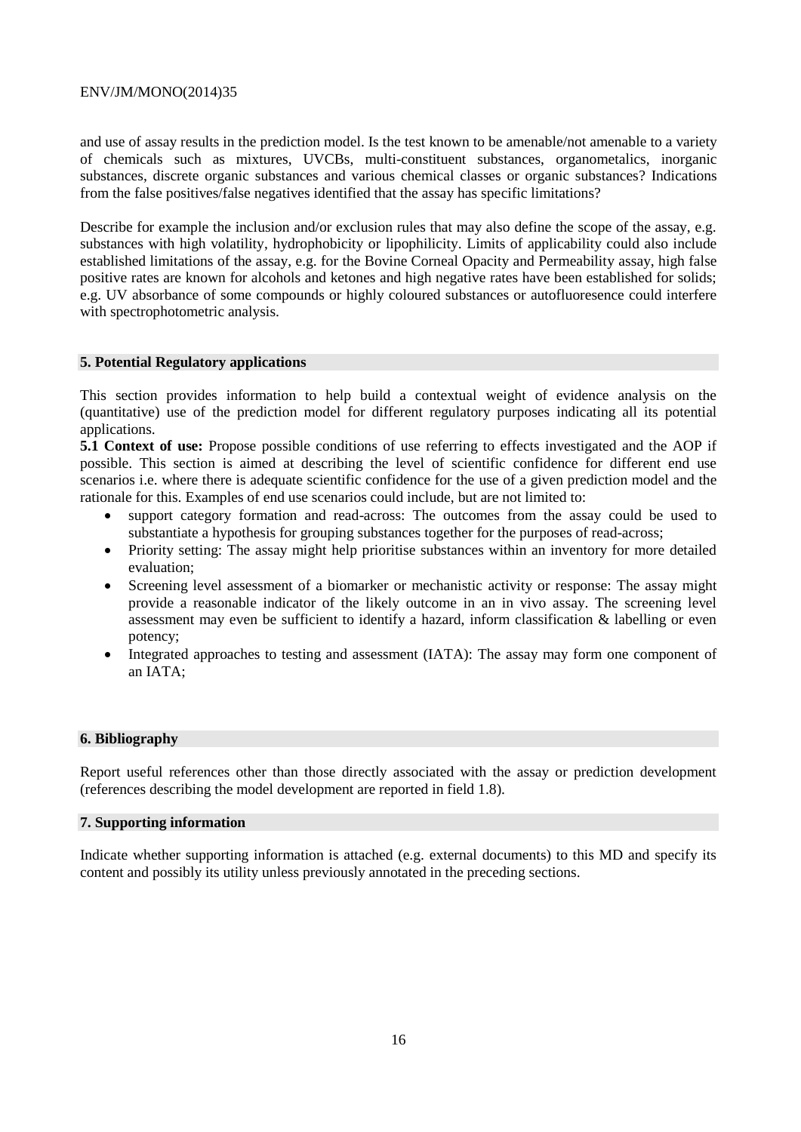and use of assay results in the prediction model. Is the test known to be amenable/not amenable to a variety of chemicals such as mixtures, UVCBs, multi-constituent substances, organometalics, inorganic substances, discrete organic substances and various chemical classes or organic substances? Indications from the false positives/false negatives identified that the assay has specific limitations?

Describe for example the inclusion and/or exclusion rules that may also define the scope of the assay, e.g. substances with high volatility, hydrophobicity or lipophilicity. Limits of applicability could also include established limitations of the assay, e.g. for the Bovine Corneal Opacity and Permeability assay, high false positive rates are known for alcohols and ketones and high negative rates have been established for solids; e.g. UV absorbance of some compounds or highly coloured substances or autofluoresence could interfere with spectrophotometric analysis.

# <span id="page-15-0"></span>**5. Potential Regulatory applications**

This section provides information to help build a contextual weight of evidence analysis on the (quantitative) use of the prediction model for different regulatory purposes indicating all its potential applications.

**5.1 Context of use:** Propose possible conditions of use referring to effects investigated and the AOP if possible. This section is aimed at describing the level of scientific confidence for different end use scenarios i.e. where there is adequate scientific confidence for the use of a given prediction model and the rationale for this. Examples of end use scenarios could include, but are not limited to:

- support category formation and read-across: The outcomes from the assay could be used to substantiate a hypothesis for grouping substances together for the purposes of read-across;
- Priority setting: The assay might help prioritise substances within an inventory for more detailed evaluation;
- Screening level assessment of a biomarker or mechanistic activity or response: The assay might provide a reasonable indicator of the likely outcome in an in vivo assay. The screening level assessment may even be sufficient to identify a hazard, inform classification & labelling or even potency;
- Integrated approaches to testing and assessment (IATA): The assay may form one component of an IATA;

## <span id="page-15-1"></span>**6. Bibliography**

Report useful references other than those directly associated with the assay or prediction development (references describing the model development are reported in field 1.8).

## <span id="page-15-2"></span>**7. Supporting information**

Indicate whether supporting information is attached (e.g. external documents) to this MD and specify its content and possibly its utility unless previously annotated in the preceding sections.